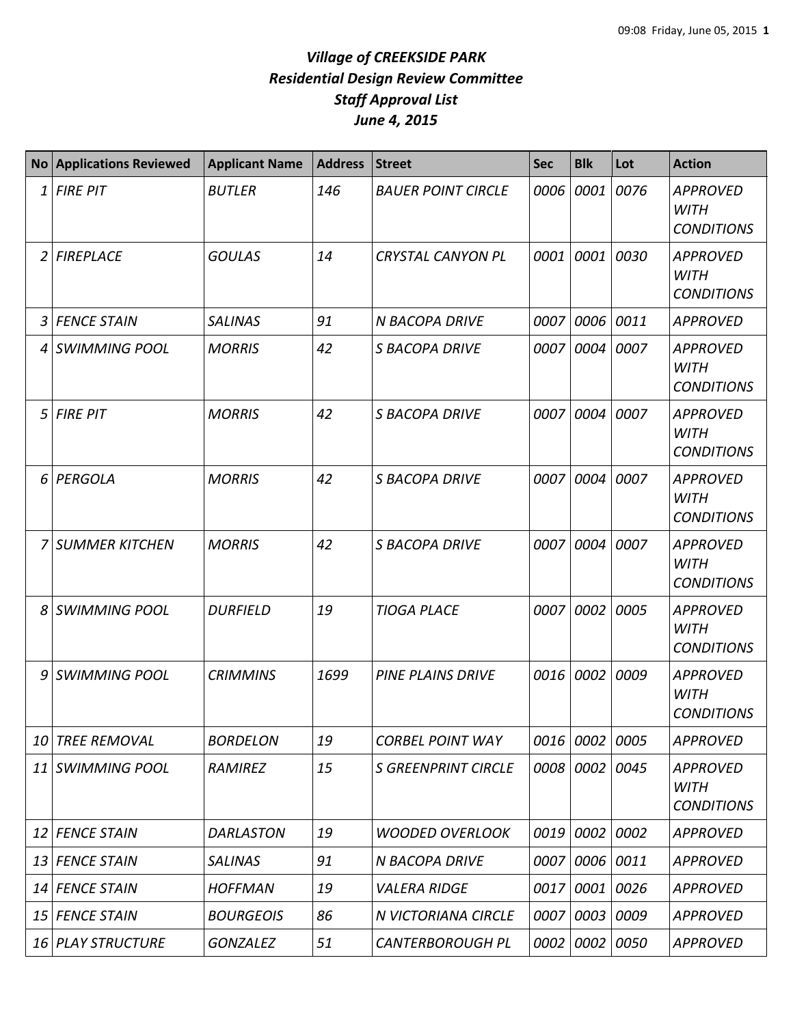|    | <b>No Applications Reviewed</b> | <b>Applicant Name</b> | <b>Address</b> | <b>Street</b>              | <b>Sec</b> | <b>Blk</b>     | Lot  | <b>Action</b>                                       |
|----|---------------------------------|-----------------------|----------------|----------------------------|------------|----------------|------|-----------------------------------------------------|
| 1  | <b>FIRE PIT</b>                 | <b>BUTLER</b>         | 146            | <b>BAUER POINT CIRCLE</b>  | 0006       | 0001           | 0076 | <b>APPROVED</b><br><b>WITH</b><br><b>CONDITIONS</b> |
| 2  | <b>FIREPLACE</b>                | <b>GOULAS</b>         | 14             | <b>CRYSTAL CANYON PL</b>   | 0001       | 0001 0030      |      | <b>APPROVED</b><br><b>WITH</b><br><b>CONDITIONS</b> |
| 3  | <b>FENCE STAIN</b>              | <b>SALINAS</b>        | 91             | N BACOPA DRIVE             | 0007       | 0006 0011      |      | <b>APPROVED</b>                                     |
| 4  | <b>SWIMMING POOL</b>            | <b>MORRIS</b>         | 42             | <b>S BACOPA DRIVE</b>      | 0007       | 0004           | 0007 | <b>APPROVED</b><br><b>WITH</b><br><b>CONDITIONS</b> |
| 5  | <b>FIRE PIT</b>                 | <b>MORRIS</b>         | 42             | <b>S BACOPA DRIVE</b>      | 0007       | 0004           | 0007 | <b>APPROVED</b><br><b>WITH</b><br><b>CONDITIONS</b> |
| 6  | PERGOLA                         | <b>MORRIS</b>         | 42             | <b>S BACOPA DRIVE</b>      | 0007       | 0004           | 0007 | <b>APPROVED</b><br><b>WITH</b><br><b>CONDITIONS</b> |
|    | <b>SUMMER KITCHEN</b>           | <b>MORRIS</b>         | 42             | <b>S BACOPA DRIVE</b>      | 0007       | 0004           | 0007 | <b>APPROVED</b><br><b>WITH</b><br><b>CONDITIONS</b> |
| 8  | SWIMMING POOL                   | <b>DURFIELD</b>       | 19             | <b>TIOGA PLACE</b>         | 0007       | 0002           | 0005 | <b>APPROVED</b><br><b>WITH</b><br><b>CONDITIONS</b> |
| 9  | SWIMMING POOL                   | <b>CRIMMINS</b>       | 1699           | <b>PINE PLAINS DRIVE</b>   | 0016       | 0002           | 0009 | <b>APPROVED</b><br><b>WITH</b><br><b>CONDITIONS</b> |
| 10 | <b>TREE REMOVAL</b>             | <b>BORDELON</b>       | 19             | <b>CORBEL POINT WAY</b>    |            | 0016 0002 0005 |      | <b>APPROVED</b>                                     |
| 11 | <b>SWIMMING POOL</b>            | RAMIREZ               | 15             | <b>S GREENPRINT CIRCLE</b> | 0008       | 0002 0045      |      | <b>APPROVED</b><br><b>WITH</b><br><b>CONDITIONS</b> |
| 12 | <b>FENCE STAIN</b>              | <b>DARLASTON</b>      | 19             | <b>WOODED OVERLOOK</b>     |            | 0019 0002      | 0002 | <b>APPROVED</b>                                     |
| 13 | <b>FENCE STAIN</b>              | <b>SALINAS</b>        | 91             | N BACOPA DRIVE             | 0007       | 0006 0011      |      | <b>APPROVED</b>                                     |
| 14 | <b>FENCE STAIN</b>              | <b>HOFFMAN</b>        | 19             | <b>VALERA RIDGE</b>        | 0017       | 0001 0026      |      | <b>APPROVED</b>                                     |
| 15 | <b>FENCE STAIN</b>              | <b>BOURGEOIS</b>      | 86             | N VICTORIANA CIRCLE        | 0007       | 0003 0009      |      | APPROVED                                            |
|    | 16 PLAY STRUCTURE               | <b>GONZALEZ</b>       | 51             | <b>CANTERBOROUGH PL</b>    | 0002       | 0002   0050    |      | APPROVED                                            |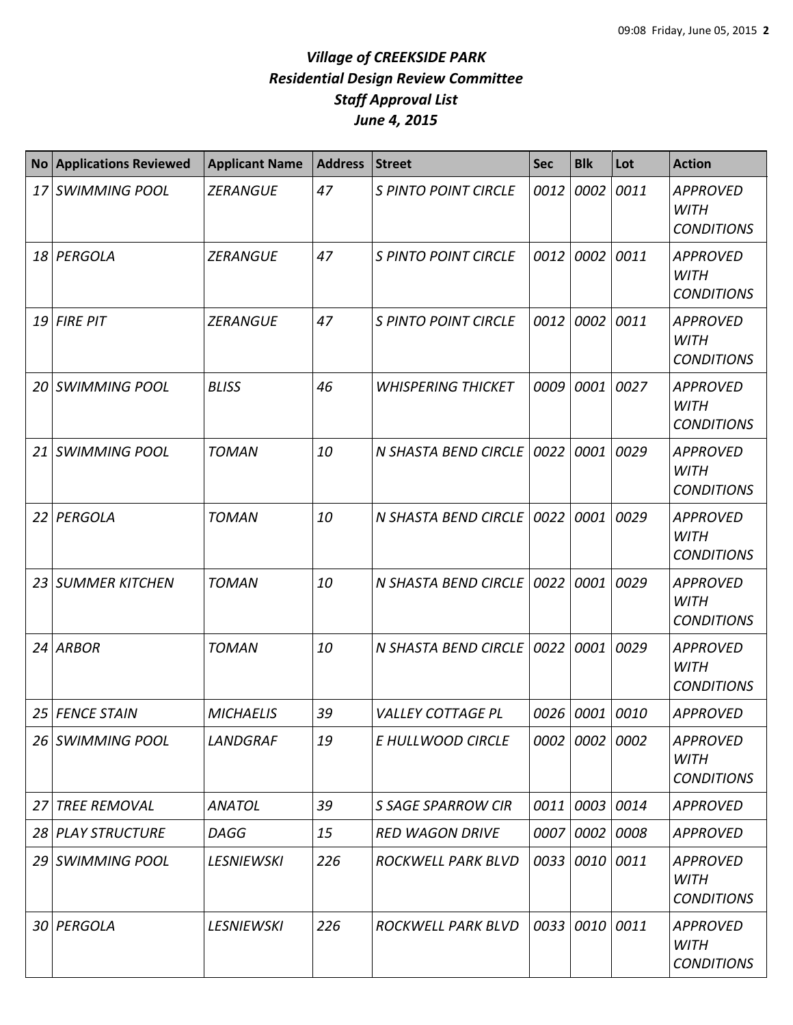| <b>No</b> | <b>Applications Reviewed</b> | <b>Applicant Name</b> | <b>Address</b> | <b>Street</b>               | <b>Sec</b> | <b>Blk</b>     | Lot  | <b>Action</b>                                       |
|-----------|------------------------------|-----------------------|----------------|-----------------------------|------------|----------------|------|-----------------------------------------------------|
| 17 I      | <b>SWIMMING POOL</b>         | <b>ZERANGUE</b>       | 47             | <b>S PINTO POINT CIRCLE</b> | 0012       | 0002           | 0011 | <b>APPROVED</b><br><b>WITH</b><br><b>CONDITIONS</b> |
| 18        | PERGOLA                      | <b>ZERANGUE</b>       | 47             | <b>S PINTO POINT CIRCLE</b> | 0012       | 0002           | 0011 | <b>APPROVED</b><br><b>WITH</b><br><b>CONDITIONS</b> |
| 19        | <b>FIRE PIT</b>              | <b>ZERANGUE</b>       | 47             | <b>S PINTO POINT CIRCLE</b> | 0012       | 0002           | 0011 | <b>APPROVED</b><br><b>WITH</b><br><b>CONDITIONS</b> |
| 20        | <b>SWIMMING POOL</b>         | <b>BLISS</b>          | 46             | <b>WHISPERING THICKET</b>   | 0009       | 0001           | 0027 | <b>APPROVED</b><br><b>WITH</b><br><b>CONDITIONS</b> |
| 21 I      | <b>SWIMMING POOL</b>         | <b>TOMAN</b>          | 10             | N SHASTA BEND CIRCLE 0022   |            | 0001           | 0029 | <b>APPROVED</b><br><b>WITH</b><br><b>CONDITIONS</b> |
| 22        | PERGOLA                      | <b>TOMAN</b>          | 10             | N SHASTA BEND CIRCLE   0022 |            | 0001           | 0029 | <b>APPROVED</b><br><b>WITH</b><br><b>CONDITIONS</b> |
| 23        | <b>SUMMER KITCHEN</b>        | <b>TOMAN</b>          | 10             | N SHASTA BEND CIRCLE        | 0022       | 0001           | 0029 | <b>APPROVED</b><br><b>WITH</b><br><b>CONDITIONS</b> |
| 24        | <b>ARBOR</b>                 | <b>TOMAN</b>          | 10             | N SHASTA BEND CIRCLE 0022   |            | 0001           | 0029 | <b>APPROVED</b><br><b>WITH</b><br><b>CONDITIONS</b> |
| 25        | <b>FENCE STAIN</b>           | <b>MICHAELIS</b>      | 39             | <b>VALLEY COTTAGE PL</b>    | 0026       | 0001           | 0010 | <b>APPROVED</b>                                     |
| 26        | <b>SWIMMING POOL</b>         | LANDGRAF              | 19             | E HULLWOOD CIRCLE           |            | 0002 0002 0002 |      | <b>APPROVED</b><br><b>WITH</b><br><b>CONDITIONS</b> |
| 27        | <b>TREE REMOVAL</b>          | <b>ANATOL</b>         | 39             | <b>S SAGE SPARROW CIR</b>   |            | 0011 0003      | 0014 | <b>APPROVED</b>                                     |
|           | 28 PLAY STRUCTURE            | <b>DAGG</b>           | 15             | <b>RED WAGON DRIVE</b>      |            | 0007 0002 0008 |      | <b>APPROVED</b>                                     |
|           | 29 SWIMMING POOL             | <b>LESNIEWSKI</b>     | 226            | ROCKWELL PARK BLVD          |            | 0033 0010      | 0011 | <b>APPROVED</b><br><b>WITH</b><br><b>CONDITIONS</b> |
|           | 30 PERGOLA                   | <b>LESNIEWSKI</b>     | 226            | ROCKWELL PARK BLVD          |            | 0033 0010      | 0011 | <b>APPROVED</b><br><b>WITH</b><br><b>CONDITIONS</b> |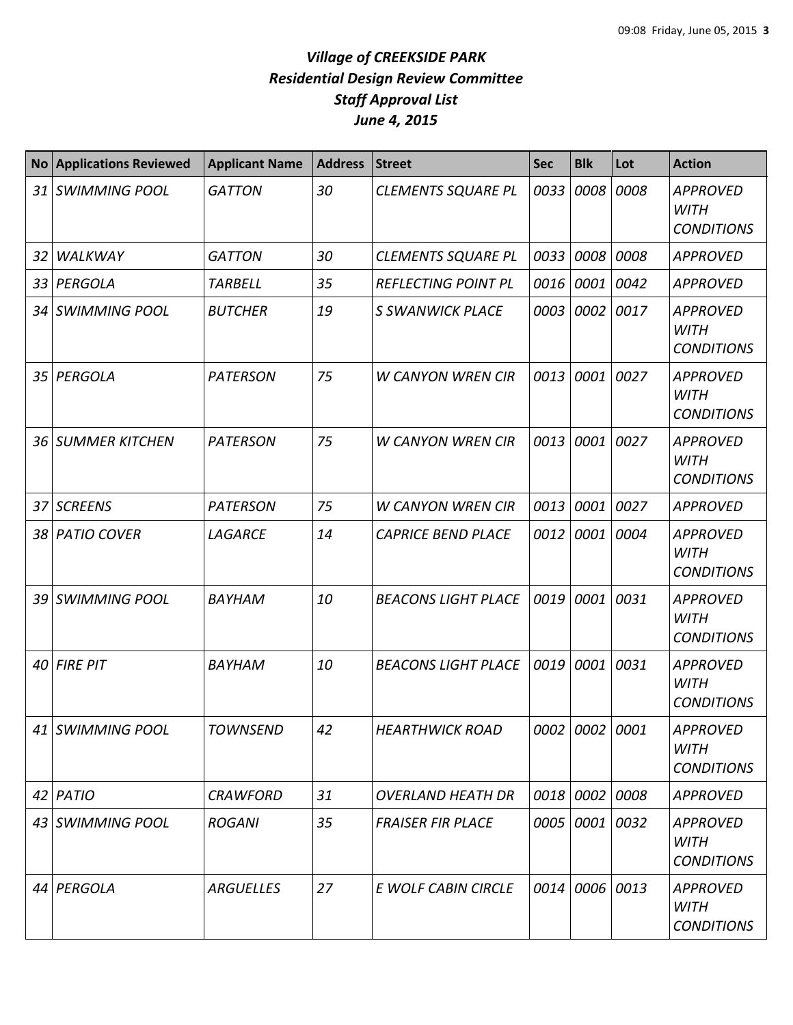| <b>No</b> | <b>Applications Reviewed</b> | <b>Applicant Name</b> | <b>Address</b> | <b>Street</b>              | <b>Sec</b> | <b>Blk</b>     | Lot  | <b>Action</b>                                       |
|-----------|------------------------------|-----------------------|----------------|----------------------------|------------|----------------|------|-----------------------------------------------------|
|           | 31 SWIMMING POOL             | <b>GATTON</b>         | 30             | <b>CLEMENTS SQUARE PL</b>  | 0033       | 0008           | 0008 | <b>APPROVED</b><br><b>WITH</b><br><b>CONDITIONS</b> |
| 32        | <b>WALKWAY</b>               | <b>GATTON</b>         | 30             | <b>CLEMENTS SQUARE PL</b>  | 0033       | 0008 0008      |      | <b>APPROVED</b>                                     |
|           | 33 PERGOLA                   | <b>TARBELL</b>        | 35             | <b>REFLECTING POINT PL</b> | 0016       | 0001           | 0042 | <b>APPROVED</b>                                     |
|           | 34 SWIMMING POOL             | <b>BUTCHER</b>        | 19             | <b>S SWANWICK PLACE</b>    | 0003       | 0002           | 0017 | <b>APPROVED</b><br><b>WITH</b><br><b>CONDITIONS</b> |
|           | 35 PERGOLA                   | <b>PATERSON</b>       | 75             | <b>W CANYON WREN CIR</b>   | 0013       | 0001           | 0027 | <b>APPROVED</b><br><b>WITH</b><br><b>CONDITIONS</b> |
|           | <b>36 SUMMER KITCHEN</b>     | <b>PATERSON</b>       | 75             | <b>W CANYON WREN CIR</b>   | 0013       | 0001           | 0027 | <b>APPROVED</b><br><b>WITH</b><br><b>CONDITIONS</b> |
|           | 37 SCREENS                   | <b>PATERSON</b>       | 75             | <b>W CANYON WREN CIR</b>   | 0013       | 0001           | 0027 | <b>APPROVED</b>                                     |
|           | 38 PATIO COVER               | LAGARCE               | 14             | <b>CAPRICE BEND PLACE</b>  | 0012       | 0001           | 0004 | <b>APPROVED</b><br><b>WITH</b><br><b>CONDITIONS</b> |
|           | 39 SWIMMING POOL             | BAYHAM                | 10             | <b>BEACONS LIGHT PLACE</b> | 0019       | 0001           | 0031 | <b>APPROVED</b><br><b>WITH</b><br><b>CONDITIONS</b> |
|           | $40$ FIRE PIT                | BAYHAM                | 10             | <b>BEACONS LIGHT PLACE</b> | 0019       | 0001           | 0031 | <b>APPROVED</b><br><b>WITH</b><br><b>CONDITIONS</b> |
|           | 41 SWIMMING POOL             | <b>TOWNSEND</b>       | 42             | <b>HEARTHWICK ROAD</b>     |            | 0002 0002 0001 |      | <b>APPROVED</b><br>WITH<br><b>CONDITIONS</b>        |
|           | 42 PATIO                     | <b>CRAWFORD</b>       | 31             | <b>OVERLAND HEATH DR</b>   |            | 0018 0002 0008 |      | <b>APPROVED</b>                                     |
|           | 43 SWIMMING POOL             | <b>ROGANI</b>         | 35             | <b>FRAISER FIR PLACE</b>   | 0005       | 0001 0032      |      | <b>APPROVED</b><br>WITH<br><b>CONDITIONS</b>        |
|           | 44 PERGOLA                   | <b>ARGUELLES</b>      | 27             | E WOLF CABIN CIRCLE        | 0014       | 0006 0013      |      | <b>APPROVED</b><br><b>WITH</b><br><b>CONDITIONS</b> |